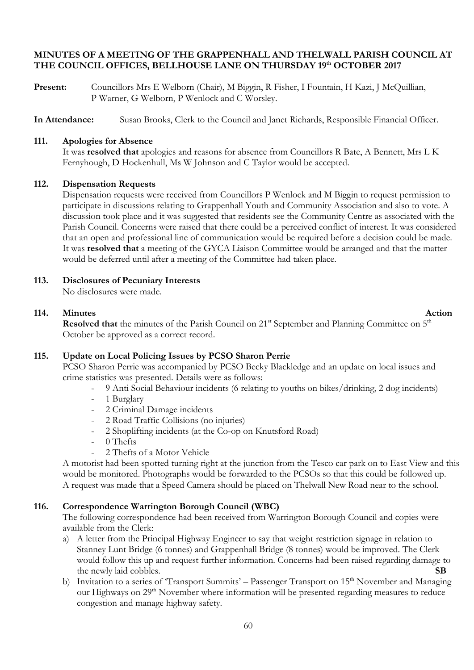## **MINUTES OF A MEETING OF THE GRAPPENHALL AND THELWALL PARISH COUNCIL AT THE COUNCIL OFFICES, BELLHOUSE LANE ON THURSDAY 19th OCTOBER 2017**

Present: Councillors Mrs E Welborn (Chair), M Biggin, R Fisher, I Fountain, H Kazi, J McQuillian, P Warner, G Welborn, P Wenlock and C Worsley.

**In Attendance:** Susan Brooks, Clerk to the Council and Janet Richards, Responsible Financial Officer.

#### **111. Apologies for Absence**

It was **resolved that** apologies and reasons for absence from Councillors R Bate, A Bennett, Mrs L K Fernyhough, D Hockenhull, Ms W Johnson and C Taylor would be accepted.

#### **112. Dispensation Requests**

Dispensation requests were received from Councillors P Wenlock and M Biggin to request permission to participate in discussions relating to Grappenhall Youth and Community Association and also to vote. A discussion took place and it was suggested that residents see the Community Centre as associated with the Parish Council. Concerns were raised that there could be a perceived conflict of interest. It was considered that an open and professional line of communication would be required before a decision could be made. It was **resolved that** a meeting of the GYCA Liaison Committee would be arranged and that the matter would be deferred until after a meeting of the Committee had taken place.

## **113. Disclosures of Pecuniary Interests**

No disclosures were made.

## **114.** Minutes Action

**Resolved that** the minutes of the Parish Council on 21<sup>st</sup> September and Planning Committee on 5<sup>th</sup> October be approved as a correct record.

### **115. Update on Local Policing Issues by PCSO Sharon Perrie**

PCSO Sharon Perrie was accompanied by PCSO Becky Blackledge and an update on local issues and crime statistics was presented. Details were as follows:

- 9 Anti Social Behaviour incidents (6 relating to youths on bikes/drinking, 2 dog incidents)
- 1 Burglary
- 2 Criminal Damage incidents
- 2 Road Traffic Collisions (no injuries)
- 2 Shoplifting incidents (at the Co-op on Knutsford Road)
- 0 Thefts
- 2 Thefts of a Motor Vehicle

A motorist had been spotted turning right at the junction from the Tesco car park on to East View and this would be monitored. Photographs would be forwarded to the PCSOs so that this could be followed up. A request was made that a Speed Camera should be placed on Thelwall New Road near to the school.

### **116. Correspondence Warrington Borough Council (WBC)**

The following correspondence had been received from Warrington Borough Council and copies were available from the Clerk:

- a) A letter from the Principal Highway Engineer to say that weight restriction signage in relation to Stanney Lunt Bridge (6 tonnes) and Grappenhall Bridge (8 tonnes) would be improved. The Clerk would follow this up and request further information. Concerns had been raised regarding damage to the newly laid cobbles. **SB**
- b) Invitation to a series of 'Transport Summits' Passenger Transport on 15<sup>th</sup> November and Managing our Highways on 29<sup>th</sup> November where information will be presented regarding measures to reduce congestion and manage highway safety.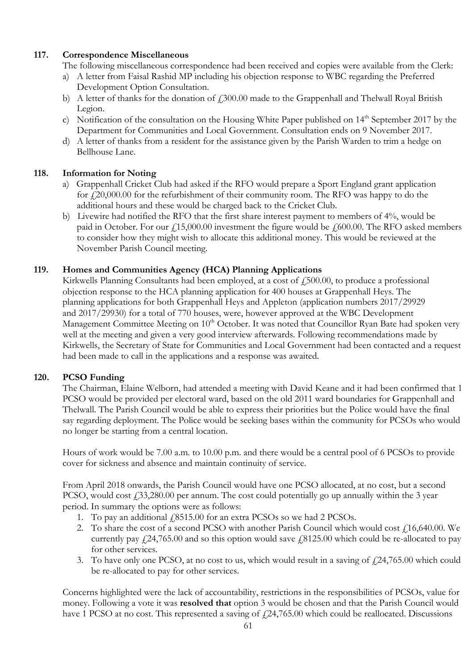# **117. Correspondence Miscellaneous**

The following miscellaneous correspondence had been received and copies were available from the Clerk:

- a) A letter from Faisal Rashid MP including his objection response to WBC regarding the Preferred Development Option Consultation.
- b) A letter of thanks for the donation of  $\ell$ , 300.00 made to the Grappenhall and Thelwall Royal British Legion.
- c) Notification of the consultation on the Housing White Paper published on  $14<sup>th</sup>$  September 2017 by the Department for Communities and Local Government. Consultation ends on 9 November 2017.
- d) A letter of thanks from a resident for the assistance given by the Parish Warden to trim a hedge on Bellhouse Lane.

# **118. Information for Noting**

- a) Grappenhall Cricket Club had asked if the RFO would prepare a Sport England grant application for  $\text{\emph{f}}20,000.00$  for the refurbishment of their community room. The RFO was happy to do the additional hours and these would be charged back to the Cricket Club.
- b) Livewire had notified the RFO that the first share interest payment to members of 4%, would be paid in October. For our  $\text{\textsterling}15,000.00$  investment the figure would be  $\text{\textsterling}600.00$ . The RFO asked members to consider how they might wish to allocate this additional money. This would be reviewed at the November Parish Council meeting.

## **119. Homes and Communities Agency (HCA) Planning Applications**

Kirkwells Planning Consultants had been employed, at a cost of  $\ddot{1}500.00$ , to produce a professional objection response to the HCA planning application for 400 houses at Grappenhall Heys. The planning applications for both Grappenhall Heys and Appleton (application numbers 2017/29929 and 2017/29930) for a total of 770 houses, were, however approved at the WBC Development Management Committee Meeting on 10<sup>th</sup> October. It was noted that Councillor Ryan Bate had spoken very well at the meeting and given a very good interview afterwards. Following recommendations made by Kirkwells, the Secretary of State for Communities and Local Government had been contacted and a request had been made to call in the applications and a response was awaited.

# **120. PCSO Funding**

The Chairman, Elaine Welborn, had attended a meeting with David Keane and it had been confirmed that 1 PCSO would be provided per electoral ward, based on the old 2011 ward boundaries for Grappenhall and Thelwall. The Parish Council would be able to express their priorities but the Police would have the final say regarding deployment. The Police would be seeking bases within the community for PCSOs who would no longer be starting from a central location.

Hours of work would be 7.00 a.m. to 10.00 p.m. and there would be a central pool of 6 PCSOs to provide cover for sickness and absence and maintain continuity of service.

From April 2018 onwards, the Parish Council would have one PCSO allocated, at no cost, but a second PCSO, would cost  $\text{\textsterling}33,280.00$  per annum. The cost could potentially go up annually within the 3 year period. In summary the options were as follows:

- 1. To pay an additional £8515.00 for an extra PCSOs so we had 2 PCSOs.
- 2. To share the cost of a second PCSO with another Parish Council which would cost £16,640.00. We currently pay  $\frac{24}{765.00}$  and so this option would save  $\frac{18125.00}{60}$  which could be re-allocated to pay for other services.
- 3. To have only one PCSO, at no cost to us, which would result in a saving of  $\text{\textsterling}24,765.00$  which could be re-allocated to pay for other services.

Concerns highlighted were the lack of accountability, restrictions in the responsibilities of PCSOs, value for money. Following a vote it was **resolved that** option 3 would be chosen and that the Parish Council would have 1 PCSO at no cost. This represented a saving of  $f$  24,765.00 which could be reallocated. Discussions